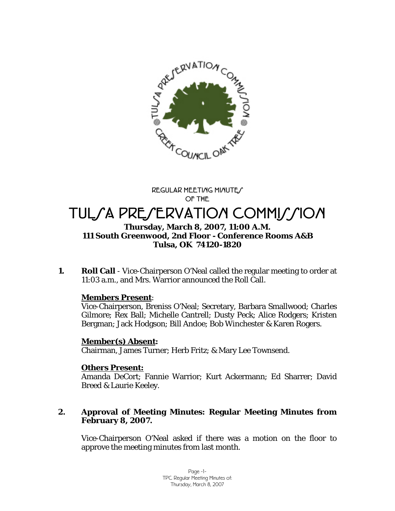

**REGULAR MEETING MINUTES OF THE** 

# TULSA PRESERVATION COMMISSION

## **Thursday, March 8, 2007, 11:00 A.M. 111 South Greenwood, 2nd Floor - Conference Rooms A&B Tulsa, OK 74120-1820**

**1.** Roll Call - Vice-Chairperson O'Neal called the regular meeting to order at 11:03 a.m., and Mrs. Warrior announced the Roll Call.

# **Members Present**:

Vice-Chairperson, Breniss O'Neal; Secretary, Barbara Smallwood; Charles Gilmore; Rex Ball; Michelle Cantrell; Dusty Peck; Alice Rodgers; Kristen Bergman; Jack Hodgson; Bill Andoe; Bob Winchester & Karen Rogers.

# **Member(s) Absent:**

Chairman, James Turner; Herb Fritz; & Mary Lee Townsend.

# **Others Present:**

Amanda DeCort; Fannie Warrior; Kurt Ackermann; Ed Sharrer; David Breed & Laurie Keeley.

# **2. Approval of Meeting Minutes: Regular Meeting Minutes from February 8, 2007.**

Vice-Chairperson O'Neal asked if there was a motion on the floor to approve the meeting minutes from last month.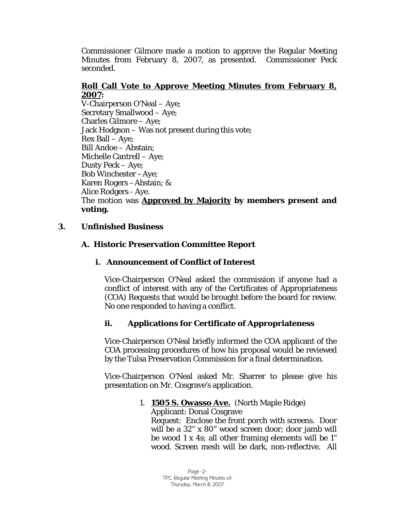Commissioner Gilmore made a motion to approve the Regular Meeting Minutes from February 8, 2007, as presented. Commissioner Peck seconded.

# **Roll Call Vote to Approve Meeting Minutes from February 8, 2007:**

V-Chairperson O'Neal – Aye; Secretary Smallwood – Aye; Charles Gilmore – Aye; Jack Hodgson – Was not present during this vote; Rex Ball – Aye; Bill Andoe – Abstain; Michelle Cantrell – Aye; Dusty Peck – Aye; Bob Winchester –Aye; Karen Rogers –Abstain; & Alice Rodgers - Aye. The motion was **Approved by Majority by members present and voting.** 

# **3. Unfinished Business**

# **A. Historic Preservation Committee Report**

# **i. Announcement of Conflict of Interest**

Vice-Chairperson O'Neal asked the commission if anyone had a conflict of interest with any of the Certificates of Appropriateness (COA) Requests that would be brought before the board for review. No one responded to having a conflict.

# **ii. Applications for Certificate of Appropriateness**

Vice-Chairperson O'Neal briefly informed the COA applicant of the COA processing procedures of how his proposal would be reviewed by the Tulsa Preservation Commission for a final determination.

Vice-Chairperson O'Neal asked Mr. Sharrer to please give his presentation on Mr. Cosgrave's application.

## 1. **1505 S. Owasso Ave.** (North Maple Ridge)

Applicant: Donal Cosgrave Request: Enclose the front porch with screens. Door will be a 32" x 80" wood screen door; door jamb will be wood 1 x 4s; all other framing elements will be 1" wood. Screen mesh will be dark, non-reflective. All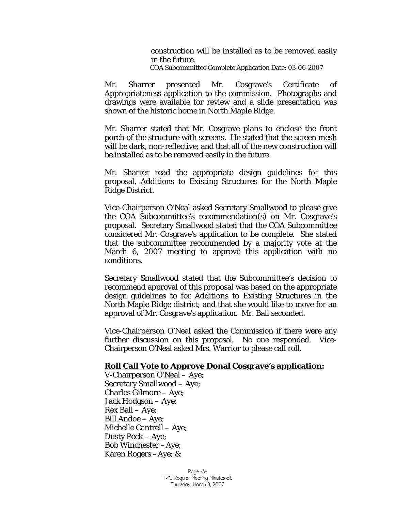construction will be installed as to be removed easily in the future. COA Subcommittee Complete Application Date: 03-06-2007

Mr. Sharrer presented Mr. Cosgrave's Certificate of Appropriateness application to the commission. Photographs and drawings were available for review and a slide presentation was shown of the historic home in North Maple Ridge.

Mr. Sharrer stated that Mr. Cosgrave plans to enclose the front porch of the structure with screens. He stated that the screen mesh will be dark, non-reflective; and that all of the new construction will be installed as to be removed easily in the future.

Mr. Sharrer read the appropriate design guidelines for this proposal, Additions to Existing Structures for the North Maple Ridge District.

Vice-Chairperson O'Neal asked Secretary Smallwood to please give the COA Subcommittee's recommendation(s) on Mr. Cosgrave's proposal. Secretary Smallwood stated that the COA Subcommittee considered Mr. Cosgrave's application to be complete. She stated that the subcommittee recommended by a majority vote at the March 6, 2007 meeting to approve this application with no conditions.

Secretary Smallwood stated that the Subcommittee's decision to recommend approval of this proposal was based on the appropriate design guidelines to for Additions to Existing Structures in the North Maple Ridge district; and that she would like to move for an approval of Mr. Cosgrave's application. Mr. Ball seconded.

Vice-Chairperson O'Neal asked the Commission if there were any further discussion on this proposal. No one responded. Vice-Chairperson O'Neal asked Mrs. Warrior to please call roll.

#### **Roll Call Vote to Approve Donal Cosgrave's application:**

V-Chairperson O'Neal – Aye; Secretary Smallwood – Aye; Charles Gilmore – Aye; Jack Hodgson – Aye; Rex Ball – Aye; Bill Andoe – Aye; Michelle Cantrell – Aye; Dusty Peck – Aye; Bob Winchester –Aye; Karen Rogers –Aye; &

> Page -3- TPC Regular Meeting Minutes of: Thursday, March 8, 2007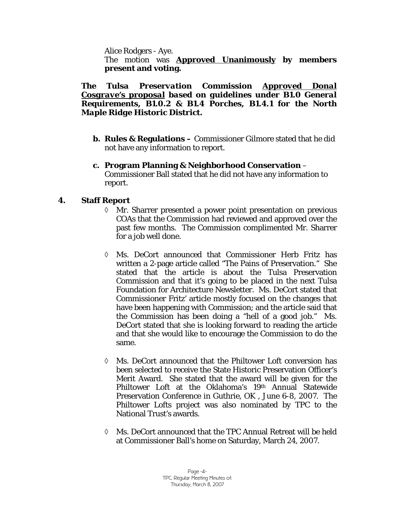Alice Rodgers - Aye.

The motion was **Approved Unanimously by members present and voting.** 

## *The Tulsa Preservation Commission Approved Donal Cosgrave's proposal based on guidelines under B1.0 General Requirements, B1.0.2 & B1.4 Porches, B1.4.1 for the North Maple Ridge Historic District.*

**b. Rules & Regulations –** Commissioner Gilmore stated that he did not have any information to report.

## **c. Program Planning & Neighborhood Conservation** –

Commissioner Ball stated that he did not have any information to report.

# **4. Staff Report**

- Mr. Sharrer presented a power point presentation on previous COAs that the Commission had reviewed and approved over the past few months. The Commission complimented Mr. Sharrer for a job well done.
- ◊ Ms. DeCort announced that Commissioner Herb Fritz has written a 2-page article called "The Pains of Preservation." She stated that the article is about the Tulsa Preservation Commission and that it's going to be placed in the next Tulsa Foundation for Architecture Newsletter. Ms. DeCort stated that Commissioner Fritz' article mostly focused on the changes that have been happening with Commission; and the article said that the Commission has been doing a "hell of a good job." Ms. DeCort stated that she is looking forward to reading the article and that she would like to encourage the Commission to do the same.
- ◊ Ms. DeCort announced that the Philtower Loft conversion has been selected to receive the State Historic Preservation Officer's Merit Award. She stated that the award will be given for the Philtower Loft at the Oklahoma's 19th Annual Statewide Preservation Conference in Guthrie, OK , June 6-8, 2007. The Philtower Lofts project was also nominated by TPC to the National Trust's awards.
- ◊ Ms. DeCort announced that the TPC Annual Retreat will be held at Commissioner Ball's home on Saturday, March 24, 2007.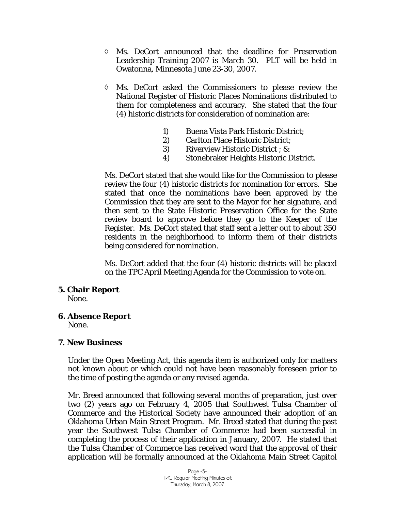- ◊ Ms. DeCort announced that the deadline for Preservation Leadership Training 2007 is March 30. PLT will be held in Owatonna, Minnesota June 23-30, 2007.
- ◊ Ms. DeCort asked the Commissioners to please review the National Register of Historic Places Nominations distributed to them for completeness and accuracy. She stated that the four (4) historic districts for consideration of nomination are:
	- 1) Buena Vista Park Historic District;
	- 2) Carlton Place Historic District;
	- 3) Riverview Historic District ; &
	- 4) Stonebraker Heights Historic District.

Ms. DeCort stated that she would like for the Commission to please review the four (4) historic districts for nomination for errors. She stated that once the nominations have been approved by the Commission that they are sent to the Mayor for her signature, and then sent to the State Historic Preservation Office for the State review board to approve before they go to the Keeper of the Register. Ms. DeCort stated that staff sent a letter out to about 350 residents in the neighborhood to inform them of their districts being considered for nomination.

Ms. DeCort added that the four (4) historic districts will be placed on the TPC April Meeting Agenda for the Commission to vote on.

## **5. Chair Report**

None.

# **6. Absence Report**

None.

#### **7. New Business**

Under the Open Meeting Act, this agenda item is authorized only for matters not known about or which could not have been reasonably foreseen prior to the time of posting the agenda or any revised agenda.

Mr. Breed announced that following several months of preparation, just over two (2) years ago on February 4, 2005 that Southwest Tulsa Chamber of Commerce and the Historical Society have announced their adoption of an Oklahoma Urban Main Street Program. Mr. Breed stated that during the past year the Southwest Tulsa Chamber of Commerce had been successful in completing the process of their application in January, 2007. He stated that the Tulsa Chamber of Commerce has received word that the approval of their application will be formally announced at the Oklahoma Main Street Capitol